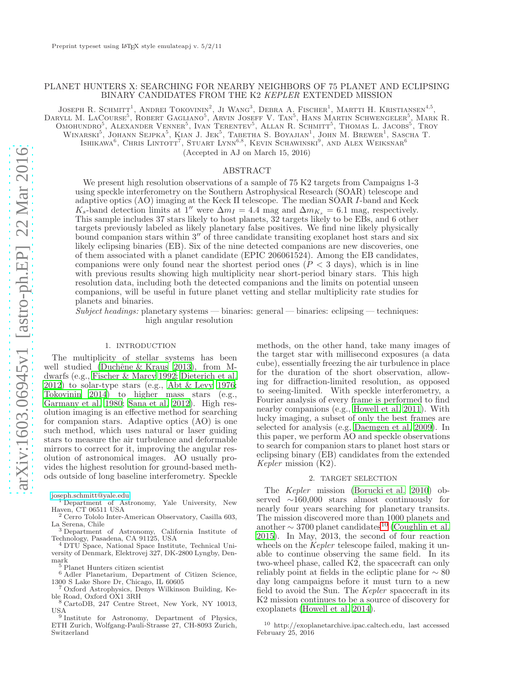## PLANET HUNTERS X: SEARCHING FOR NEARBY NEIGHBORS OF 75 PLANET AND ECLIPSING BINARY CANDIDATES FROM THE K2 *KEPLER* EXTENDED MISSION

JOSEPH R. SCHMITT<sup>1</sup>, ANDREI TOKOVININ<sup>2</sup>, JI WANG<sup>3</sup>, DEBRA A. FISCHER<sup>1</sup>, MARTTI H. KRISTIANSEN<sup>4,5</sup>, DARYLL M. LACOURSE<sup>5</sup>, ROBERT GAGLIANO<sup>5</sup>, ARVIN JOSEFF V. TAN<sup>5</sup>, HANS MARTIN SCHWENGELER<sup>5</sup>, MARK R.

Omohundro<sup>5</sup>, Alexander Venner<sup>5</sup>, Ivan Terentev<sup>5</sup>, Allan R. Schmitt<sup>5</sup>, Thomas L. Jacobs<sup>5</sup>, Troy

WINARSKI<sup>5</sup>, JOHANN SEJPKA<sup>5</sup>, KIAN J. JEK<sup>5</sup>, TABETHA S. BOYAJIAN<sup>1</sup>, JOHN M. BREWER<sup>1</sup>, SASCHA T.

ISHIKAWA $^6$ , CHRIS LINTOTT<sup>7</sup>, STUART LYNN $^{6,8}$ , KEVIN SCHAWINSKI<sup>9</sup>, AND ALEX WEIKSNAR $^6$ 

(Accepted in AJ on March 15, 2016)

## ABSTRACT

We present high resolution observations of a sample of 75 K2 targets from Campaigns 1-3 using speckle interferometry on the Southern Astrophysical Research (SOAR) telescope and adaptive optics (AO) imaging at the Keck II telescope. The median SOAR I-band and Keck  $K_s$ -band detection limits at 1″ were  $\Delta m_I = 4.4$  mag and  $\Delta m_{K_s} = 6.1$  mag, respectively. This sample includes 37 stars likely to host planets, 32 targets likely to be EBs, and 6 other targets previously labeled as likely planetary false positives. We find nine likely physically bound companion stars within  $3''$  of three candidate transiting exoplanet host stars and six likely eclipsing binaries (EB). Six of the nine detected companions are new discoveries, one of them associated with a planet candidate (EPIC 206061524). Among the EB candidates, companions were only found near the shortest period ones ( $P < 3$  days), which is in line with previous results showing high multiplicity near short-period binary stars. This high resolution data, including both the detected companions and the limits on potential unseen companions, will be useful in future planet vetting and stellar multiplicity rate studies for planets and binaries.

*Subject headings:* planetary systems — binaries: general — binaries: eclipsing — techniques: high angular resolution

## 1. INTRODUCTION

The multiplicity of stellar systems has been well studied (Duchêne  $&$  Kraus 2013), from Mdwarfs (e.g., [Fischer & Marcy 1992;](#page-11-1) [Dieterich et al.](#page-11-2) [2012\)](#page-11-2) to solar-type stars (e.g., [Abt & Levy 1976;](#page-11-3) [Tokovinin 2014\)](#page-12-0) to higher mass stars (e.g., [Garmany et al. 1980;](#page-11-4) [Sana et al. 2012\)](#page-12-1). High resolution imaging is an effective method for searching for companion stars. Adaptive optics (AO) is one such method, which uses natural or laser guiding stars to measure the air turbulence and deformable mirrors to correct for it, improving the angular resolution of astronomical images. AO usually provides the highest resolution for ground-based methods outside of long baseline interferometry. Speckle

<sup>1</sup> Department of Astronomy, Yale University, New Haven, CT 06511 USA

<sup>2</sup> Cerro Tololo Inter-American Observatory, Casilla 603, La Serena, Chile <sup>3</sup> Department of Astronomy, California Institute of

Technology, Pasadena, CA 91125, USA

<sup>4</sup> DTU Space, National Space Institute, Technical University of Denmark, Elektrovej 327, DK-2800 Lyngby, Denmark

<sup>5</sup> Planet Hunters citizen scientist

<sup>6</sup> Adler Planetarium, Department of Citizen Science, 1300 S Lake Shore Dr, Chicago, IL 60605

Oxford Astrophysics, Denys Wilkinson Building, Keble Road, Oxford OX1 3RH

<sup>8</sup> CartoDB, 247 Centre Street, New York, NY 10013,  $\frac{\text{USA}}{9 \text{ L}}$ 

Institute for Astronomy, Department of Physics, ETH Zurich, Wolfgang-Pauli-Strasse 27, CH-8093 Zurich, Switzerland

methods, on the other hand, take many images of the target star with millisecond exposures (a data cube), essentially freezing the air turbulence in place for the duration of the short observation, allowing for diffraction-limited resolution, as opposed to seeing-limited. With speckle interferometry, a Fourier analysis of every frame is performed to find nearby companions (e.g., [Howell et al. 2011\)](#page-11-5). With lucky imaging, a subset of only the best frames are selected for analysis (e.g, [Daemgen et al. 2009\)](#page-11-6). In this paper, we perform AO and speckle observations to search for companion stars to planet host stars or eclipsing binary (EB) candidates from the extended *Kepler* mission (K2).

#### 2. TARGET SELECTION

The *Kepler* mission [\(Borucki et al. 2010](#page-11-7)) observed ∼160,000 stars almost continuously for nearly four years searching for planetary transits. The mission discovered more than 1000 planets and another  $\sim$  3700 planet candidates<sup>[10](#page-0-0)</sup> [\(Coughlin et al.](#page-11-8) [2015\)](#page-11-8). In May, 2013, the second of four reaction wheels on the *Kepler* telescope failed, making it unable to continue observing the same field. In its two-wheel phase, called K2, the spacecraft can only reliably point at fields in the ecliptic plane for  $\sim 80$ day long campaigns before it must turn to a new field to avoid the Sun. The *Kepler* spacecraft in its K2 mission continues to be a source of discovery for exoplanets [\(Howell et al. 2014\)](#page-11-9).

<span id="page-0-0"></span><sup>10</sup> http://exoplanetarchive.ipac.caltech.edu, last accessed February 25, 2016

[joseph.schmitt@yale.edu](mailto:joseph.schmitt@yale.edu)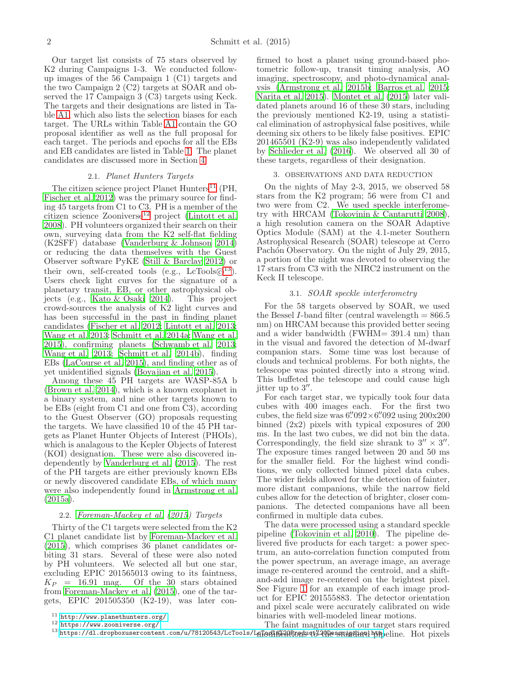Our target list consists of 75 stars observed by K2 during Campaigns 1-3. We conducted followup images of the 56 Campaign 1 (C1) targets and the two Campaign 2 (C2) targets at SOAR and observed the 17 Campaign 3 (C3) targets using Keck. The targets and their designations are listed in Table [A1,](#page-13-0) which also lists the selection biases for each target. The URLs within Table [A1](#page-13-0) contain the GO proposal identifier as well as the full proposal for each target. The periods and epochs for all the EBs and EB candidates are listed in Table [1.](#page-13-0) The planet candidates are discussed more in Section [4.](#page-3-0)

## 2.1. *Planet Hunters Targets*

The citizen science project Planet Hunters<sup>[11](#page-1-0)</sup> (PH, [Fischer et al. 2012](#page-11-10)) was the primary source for finding 45 targets from C1 to C3. PH is a member of the citizen science Zooniverse<sup>[12](#page-1-1)</sup> project [\(Lintott et al.](#page-11-11) [2008\)](#page-11-11). PH volunteers organized their search on their own, surveying data from the K2 self-flat fielding (K2SFF) database [\(Vanderburg & Johnson 2014\)](#page-12-2) or reducing the data themselves with the Guest Observer software PyKE [\(Still & Barclay 2012\)](#page-12-3) or their own, self-created tools (e.g.,  $LcTools@^{13}$  $LcTools@^{13}$  $LcTools@^{13}$ ). Users check light curves for the signature of a planetary transit, EB, or other astrophysical objects (e.g., [Kato & Osaki 2014\)](#page-11-12). This project crowd-sources the analysis of K2 light curves and has been successful in the past in finding planet candidates [\(Fischer et al. 2012;](#page-11-10) [Lintott et al. 2013;](#page-11-13) [Wang et al. 2013](#page-12-4); [Schmitt et al. 2014a;](#page-12-5) [Wang et al.](#page-12-6) [2015\)](#page-12-6), confirming planets [\(Schwamb et al. 2013;](#page-12-7) [Wang et al. 2013;](#page-12-4) [Schmitt et al. 2014b](#page-12-8)), finding EBs [\(LaCourse et al. 2015\)](#page-11-14), and finding other as of yet unidentified signals [\(Boyajian et al. 2015\)](#page-11-15).

Among these 45 PH targets are WASP-85A b [\(Brown et al. 2014\)](#page-11-16), which is a known exoplanet in a binary system, and nine other targets known to be EBs (eight from C1 and one from C3), according to the Guest Observer (GO) proposals requesting the targets. We have classified 10 of the 45 PH targets as Planet Hunter Objects of Interest (PHOIs), which is analagous to the Kepler Objects of Interest (KOI) designation. These were also discovered independently by [Vanderburg et al. \(2015\)](#page-12-9). The rest of the PH targets are either previously known EBs or newly discovered candidate EBs, of which many were also independently found in [Armstrong et al.](#page-11-17) [\(2015a\)](#page-11-17).

## 2.2. *[Foreman-Mackey et al. \(2015](#page-11-18)) Targets*

Thirty of the C1 targets were selected from the K2 C1 planet candidate list by [Foreman-Mackey et al.](#page-11-18) [\(2015\)](#page-11-18), which comprises 36 planet candidates orbiting 31 stars. Several of these were also noted by PH volunteers. We selected all but one star, excluding EPIC 201565013 owing to its faintness,  $K_P$  = 16.91 mag. Of the 30 stars obtained from [Foreman-Mackey et al. \(2015\)](#page-11-18), one of the targets, EPIC 201505350 (K2-19), was later con-

<sup>11</sup> <http://www.planethunters.org/>

<span id="page-1-2"></span><span id="page-1-1"></span><span id="page-1-0"></span><sup>12</sup> <https://www.zooniverse.org/>

firmed to host a planet using ground-based photometric follow-up, transit timing analysis, AO imaging, spectroscopy, and photo-dynamical analysis [\(Armstrong et al. 2015b](#page-11-19); [Barros et al. 2015;](#page-11-20) [Narita et al. 2015\)](#page-12-10). [Montet et al. \(2015](#page-12-11)) later validated planets around 16 of these 30 stars, including the previously mentioned K2-19, using a statistical elimination of astrophysical false positives, while deeming six others to be likely false positives. EPIC 201465501 (K2-9) was also independently validated by [Schlieder et al. \(2016\)](#page-12-12). We observed all 30 of these targets, regardless of their designation.

## 3. OBSERVATIONS AND DATA REDUCTION

On the nights of May 2-3, 2015, we observed 58 stars from the K2 program; 56 were from C1 and two were from C2. We used speckle interferometry with HRCAM [\(Tokovinin & Cantarutti 2008](#page-12-13)), a high resolution camera on the SOAR Adaptive Optics Module (SAM) at the 4.1-meter Southern Astrophysical Research (SOAR) telescope at Cerro Pachón Observatory. On the night of July 29, 2015, a portion of the night was devoted to observing the 17 stars from C3 with the NIRC2 instrument on the Keck II telescope.

## 3.1. *SOAR speckle interferometry*

For the 58 targets observed by SOAR, we used the Bessel *I*-band filter (central wavelength  $= 866.5$ ) nm) on HRCAM because this provided better seeing and a wider bandwidth (FWHM= 391.4 nm) than in the visual and favored the detection of M-dwarf companion stars. Some time was lost because of clouds and technical problems. For both nights, the telescope was pointed directly into a strong wind. This buffeted the telescope and could cause high  $jitter$  up to  $3''$ .

For each target star, we typically took four data cubes with 400 images each. For the first two cubes, the field size was  $6''092 \times 6''092$  using  $200x200$ binned (2x2) pixels with typical exposures of 200 ms. In the last two cubes, we did not bin the data. Correspondingly, the field size shrank to  $3'' \times 3''$ . The exposure times ranged between 20 and 50 ms for the smaller field. For the highest wind conditions, we only collected binned pixel data cubes. The wider fields allowed for the detection of fainter, more distant companions, while the narrow field cubes allow for the detection of brighter, closer companions. The detected companions have all been confirmed in multiple data cubes.

The data were processed using a standard speckle pipeline [\(Tokovinin et al. 2010](#page-12-14)). The pipeline delivered five products for each target: a power spectrum, an auto-correlation function computed from the power spectrum, an average image, an average image re-centered around the centroid, and a shiftand-add image re-centered on the brightest pixel. See Figure [1](#page-3-1) for an example of each image product for EPIC 201555883. The detector orientation and pixel scale were accurately calibrated on wide binaries with well-modeled linear motions.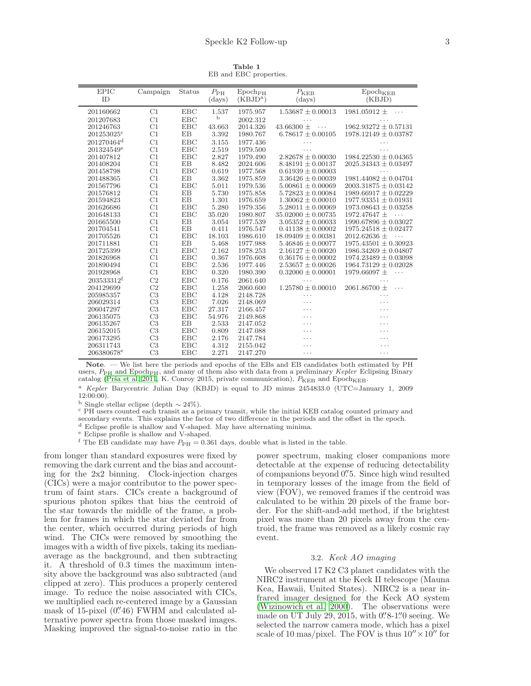Table 1 EB and EBC properties.

| <b>EPIC</b>            | Campaign       | Status     | $P_{\rm PH}$    | Epoch <sub>PH</sub> | $P_{\rm KEB}$                     | Epoch <sub>KEB</sub>         |
|------------------------|----------------|------------|-----------------|---------------------|-----------------------------------|------------------------------|
| ID                     |                |            | (days)          | $(KBJD^a)$          | (days)                            | (KBJD)                       |
| 201160662              | C1             | <b>EBC</b> | 1.537           | 1975.957            | $1.53687 \pm 0.00013$             | 1981.05912 $\pm$<br>.        |
| 201207683              | C1             | <b>EBC</b> | b               | 2002.312            |                                   |                              |
| 201246763              | C1             | <b>EBC</b> |                 | 2014.326            | .<br>43.66300 $\pm$               | $1962.93272 \pm 0.57131$     |
| 201253025c             | C1             | EB         | 43.663<br>3.392 | 1980.767            | $\cdots$<br>$6.78617 \pm 0.00105$ | $1978.12149 \pm 0.03787$     |
|                        |                |            |                 |                     |                                   |                              |
| 201270464 <sup>d</sup> | C1             | <b>EBC</b> | 3.155           | 1977.436            | .                                 |                              |
| $201324549^e$          | C1             | <b>EBC</b> | 2.519           | 1979.500            | .                                 | .                            |
| 201407812              | C1             | <b>EBC</b> | 2.827           | 1979.490            | $2.82678 \pm 0.00030$             | $1984.22530 \pm 0.04365$     |
| 201408204              | C1             | EB         | 8.482           | 2024.606            | $8.48191 \pm 0.00137$             | $2025.34343 \pm 0.03497$     |
| 201458798              | C1             | <b>EBC</b> | 0.619           | 1977.568            | $0.61939 \pm 0.00003$             |                              |
| 201488365              | C1             | EB         | 3.362           | 1975.859            | $3.36426 \pm 0.00039$             | $1981.44082 \pm 0.04704$     |
| 201567796              | C1             | <b>EBC</b> | 5.011           | 1979.536            | $5.00861 \pm 0.00069$             | $2003.31875 \pm 0.03142$     |
| 201576812              | C1             | EB         | 5.730           | 1975.858            | $5.72823 \pm 0.00084$             | $1989.66917 \pm 0.02229$     |
| 201594823              | C1             | EB         | 1.301           | 1976.659            | $1.30062 \pm 0.00010$             | $1977.93351 \pm 0.01931$     |
| 201626686              | C1             | <b>EBC</b> | 5.280           | 1979.356            | $5.28011 \pm 0.00069$             | $1973.08643 \pm 0.03258$     |
| 201648133              | C1             | <b>EBC</b> | 35.020          | 1980.807            | $35.02000 \pm 0.00735$            | $1972.47647 \pm$<br>.        |
| 201665500              | C1             | EB         | 3.054           | 1977.539            | $3.05352 \pm 0.00033$             | $1990.67896 \pm 0.03027$     |
| 201704541              | C1             | EB         | 0.411           | 1976.547            | $0.41138 \pm 0.00002$             | $1975.24518 \pm 0.02477$     |
| 201705526              | C1             | <b>EBC</b> | 18.103          | 1986.610            | $18.09409 \pm 0.00381$            | 2012.62636 $\pm$<br>$\cdots$ |
| 201711881              | C1             | EB         | 5.468           | 1977.988            | $5.46846 \pm 0.00077$             | $1975.43501 \pm 0.30923$     |
| 201725399              | C1             | EBC        | 2.162           | 1978.253            | $2.16127 \pm 0.00020$             | $1986.34269 \pm 0.04807$     |
| 201826968              | C1             | <b>EBC</b> | 0.367           | 1976.608            | $0.36176 \pm 0.00002$             | $1974.23489 \pm 0.03098$     |
| 201890494              | C1             | <b>EBC</b> | 2.536           | 1977.446            | $2.53657 \pm 0.00026$             | $1964.73129 \pm 0.02028$     |
| 201928968              | C1             | <b>EBC</b> | 0.320           | 1980.390            | $0.32000 \pm 0.00001$             | 1979.66097 ±<br>$\cdots$     |
| 203533312f             | C <sub>2</sub> | <b>EBC</b> | 0.176           | 2061.640            | .                                 | .                            |
| 204129699              | C <sub>2</sub> | EBC        | 1.258           | 2060.600            | $1.25780 \pm 0.00010$             | 2061.86700 $\pm$<br>.        |
| 205985357              | C <sub>3</sub> | <b>EBC</b> | 4.128           | 2148.728            | .                                 | .                            |
| 206029314              | C <sub>3</sub> | <b>EBC</b> | 7.026           | 2148.069            | .                                 | .                            |
| 206047297              | C <sub>3</sub> | <b>EBC</b> | 27.317          | 2166.457            | .                                 | .                            |
| 206135075              | C <sub>3</sub> | <b>EBC</b> | 54.976          | 2149.868            | .                                 | .                            |
| 206135267              | C <sub>3</sub> | EB         | 2.533           | 2147.052            | .                                 | .                            |
| 206152015              | C3             | <b>EBC</b> | 0.809           | 2147.088            | .                                 | .                            |
| 206173295              | C <sub>3</sub> | <b>EBC</b> | 2.176           | 2147.784            | .                                 | .                            |
| 206311743              | C <sub>3</sub> | <b>EBC</b> | 4.312           | 2155.042            | .                                 | $\cdot$                      |
| 206380678 <sup>e</sup> | C <sub>3</sub> | <b>EBC</b> | 2.271           | 2147.270            | .                                 | $\cdots$                     |

Note. — We list here the periods and epochs of the EBs and EB candidates both estimated by PH users,  $P_{\rm PH}$  and Epoch<sub>PH</sub>, and many of them also with data from a preliminary Kepler Eclipsing Binary catalog (Prša et al. 2011, K. Conroy 2015, private communication),  $P_{\text{KEB}}$  and Epoch<sub>KEB</sub>.

<sup>a</sup> Kepler Barycentric Julian Day (KBJD) is equal to JD minus 2454833.0 (UTC=January 1, 2009 12:00:00).

<sup>b</sup> Single stellar eclipse (depth ∼ 24%).

<sup>c</sup> PH users counted each transit as a primary transit, while the initial KEB catalog counted primary and

secondary events. This explains the factor of two difference in the periods and the offset in the epoch.

 $^{\rm d}$  Eclipse profile is shallow and V-shaped. May have alternating minima.

<sup>e</sup> Eclipse profile is shallow and V-shaped.

f The EB candidate may have  $P_{\rm PH} = 0.361$  days, double what is listed in the table.

from longer than standard exposures were fixed by removing the dark current and the bias and accounting for the 2x2 binning. Clock-injection charges (CICs) were a major contributor to the power spectrum of faint stars. CICs create a background of spurious photon spikes that bias the centroid of the star towards the middle of the frame, a problem for frames in which the star deviated far from the center, which occurred during periods of high wind. The CICs were removed by smoothing the images with a width of five pixels, taking its medianaverage as the background, and then subtracting it. A threshold of 0.3 times the maximum intensity above the background was also subtracted (and clipped at zero). This produces a properly centered image. To reduce the noise associated with CICs, we multiplied each re-centered image by a Gaussian mask of 15-pixel (0"46) FWHM and calculated alternative power spectra from those masked images. Masking improved the signal-to-noise ratio in the

power spectrum, making closer companions more detectable at the expense of reducing detectability of companions beyond 0. Since high wind resulted in temporary losses of the image from the field of view (FOV), we removed frames if the centroid was calculated to be within 20 pixels of the frame border. For the shift-and-add method, if the brightest pixel was more than 20 pixels away from the centroid, the frame was removed as a likely cosmic ray event.

## 3.2. *Keck AO imaging*

We observed 17 K2 C3 planet candidates with the NIRC2 instrument at the Keck II telescope (Mauna Kea, Hawaii, United States). NIRC2 is a near infrared imager designed for the Keck AO system [\(Wizinowich et al. 2000\)](#page-12-16). The observations were made on UT July 29, 2015, with  $0.8$ -1.  $\degree$  0. Seeing. We selected the narrow camera mode, which has a pixel scale of 10 mas/pixel. The FOV is thus  $10'' \times 10''$  for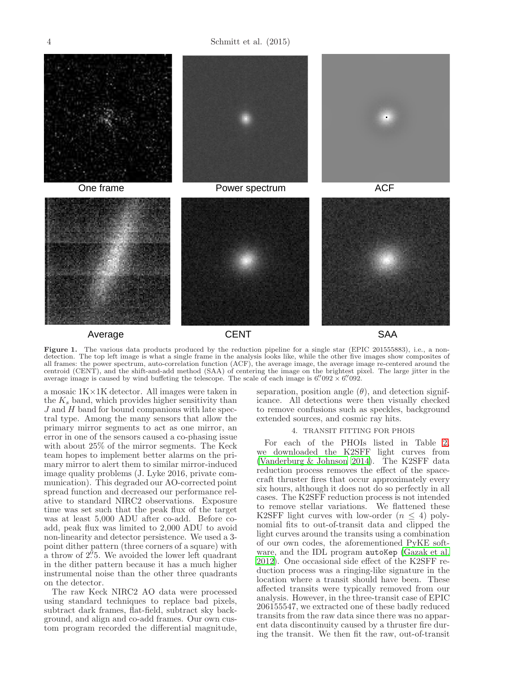4 Schmitt et al. (2015)



## <span id="page-3-1"></span>Average SAA

**CENT** 

Figure 1. The various data products produced by the reduction pipeline for a single star (EPIC 201555883), i.e., a nondetection. The top left image is what a single frame in the analysis looks like, while the other five images show composites of all frames: the power spectrum, auto-correlation function (ACF), the average image, the average image re-centered around the centroid (CENT), and the shift-and-add method (SAA) of centering the image on the brightest pixel. The large jitter in the average image is caused by wind buffeting the telescope. The scale of each image is  $6''$  092  $\times$   $6''$  092.

a mosaic 1K×1K detector. All images were taken in the  $K_s$  band, which provides higher sensitivity than  $J$  and  $H$  band for bound companions with late spectral type. Among the many sensors that allow the primary mirror segments to act as one mirror, an error in one of the sensors caused a co-phasing issue with about 25% of the mirror segments. The Keck team hopes to implement better alarms on the primary mirror to alert them to similar mirror-induced image quality problems (J. Lyke 2016, private communication). This degraded our AO-corrected point spread function and decreased our performance relative to standard NIRC2 observations. Exposure time was set such that the peak flux of the target was at least 5,000 ADU after co-add. Before coadd, peak flux was limited to 2,000 ADU to avoid non-linearity and detector persistence. We used a 3 point dither pattern (three corners of a square) with a throw of 2'5. We avoided the lower left quadrant in the dither pattern because it has a much higher instrumental noise than the other three quadrants on the detector.

The raw Keck NIRC2 AO data were processed using standard techniques to replace bad pixels, subtract dark frames, flat-field, subtract sky background, and align and co-add frames. Our own custom program recorded the differential magnitude,

separation, position angle  $(\theta)$ , and detection significance. All detections were then visually checked to remove confusions such as speckles, background extended sources, and cosmic ray hits.

#### 4. TRANSIT FITTING FOR PHOIS

<span id="page-3-0"></span>For each of the PHOIs listed in Table [2,](#page-6-0) we downloaded the K2SFF light curves from [\(Vanderburg & Johnson 2014\)](#page-12-2). The K2SFF data reduction process removes the effect of the spacecraft thruster fires that occur approximately every six hours, although it does not do so perfectly in all cases. The K2SFF reduction process is not intended to remove stellar variations. We flattened these K2SFF light curves with low-order  $(n \leq 4)$  polynomial fits to out-of-transit data and clipped the light curves around the transits using a combination of our own codes, the aforementioned PyKE software, and the IDL program autoKep [\(Gazak et al.](#page-11-21) [2012\)](#page-11-21). One occasional side effect of the K2SFF reduction process was a ringing-like signature in the location where a transit should have been. These affected transits were typically removed from our analysis. However, in the three-transit case of EPIC 206155547, we extracted one of these badly reduced transits from the raw data since there was no apparent data discontinuity caused by a thruster fire during the transit. We then fit the raw, out-of-transit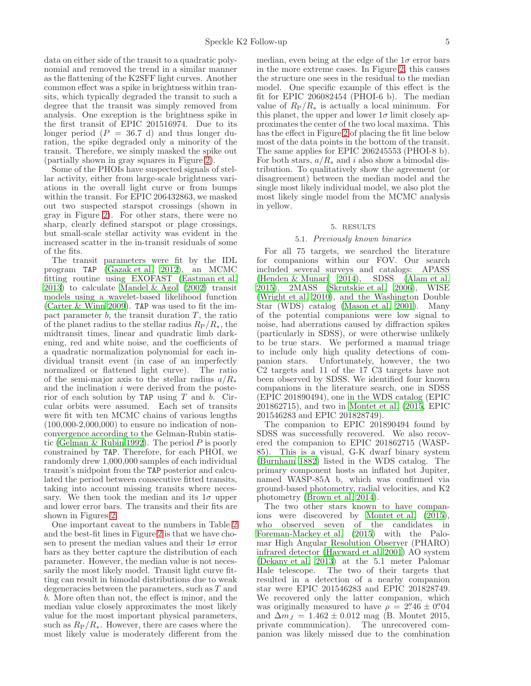data on either side of the transit to a quadratic polynomial and removed the trend in a similar manner as the flattening of the K2SFF light curves. Another common effect was a spike in brightness within transits, which typically degraded the transit to such a degree that the transit was simply removed from analysis. One exception is the brightness spike in the first transit of EPIC 201516974. Due to its longer period  $(P = 36.7 \text{ d})$  and thus longer duration, the spike degraded only a minority of the transit. Therefore, we simply masked the spike out (partially shown in gray squares in Figure [2\)](#page-5-0).

Some of the PHOIs have suspected signals of stellar activity, either from large-scale brightness variations in the overall light curve or from bumps within the transit. For EPIC 206432863, we masked out two suspected starspot crossings (shown in gray in Figure [2\)](#page-5-0). For other stars, there were no sharp, clearly defined starspot or plage crossings, but small-scale stellar activity was evident in the increased scatter in the in-transit residuals of some of the fits.

The transit parameters were fit by the IDL program TAP [\(Gazak et al. 2012\)](#page-11-21), an MCMC fitting routine using EXOFAST [\(Eastman et al.](#page-11-22) [2013\)](#page-11-22) to calculate [Mandel & Agol \(2002](#page-12-17)) transit models using a wavelet-based likelihood function [\(Carter & Winn 2009\)](#page-11-23). TAP was used to fit the impact parameter  $b$ , the transit duration  $T$ , the ratio of the planet radius to the stellar radius  $R_P/R_*$ , the midtransit times, linear and quadratic limb darkening, red and white noise, and the coefficients of a quadratic normalization polynomial for each individual transit event (in case of an imperfectly normalized or flattened light curve). The ratio of the semi-major axis to the stellar radius  $a/R_*$ and the inclination i were derived from the posterior of each solution by TAP using  $T$  and  $b$ . Circular orbits were assumed. Each set of transits were fit with ten MCMC chains of various lengths  $(100,000-2,000,000)$  to ensure no indication of nonconvergence according to the Gelman-Rubin statis-tic [\(Gelman & Rubin 1992\)](#page-11-24). The period  $P$  is poorly constrained by TAP. Therefore, for each PHOI, we randomly drew 1,000,000 samples of each individual transit's midpoint from the TAP posterior and calculated the period between consecutive fitted transits, taking into account missing transits where necessary. We then took the median and its  $1\sigma$  upper and lower error bars. The transits and their fits are shown in Figures [2.](#page-5-0)

One important caveat to the numbers in Table [2](#page-6-0) and the best-fit lines in Figure [2](#page-5-0) is that we have chosen to present the median values and their  $1\sigma$  error bars as they better capture the distribution of each parameter. However, the median value is not necessarily the most likely model. Transit light curve fitting can result in bimodal distributions due to weak degeneracies between the parameters, such as T and b. More often than not, the effect is minor, and the median value closely approximates the most likely value for the most important physical parameters, such as  $R_P/R_*$ . However, there are cases where the most likely value is moderately different from the

median, even being at the edge of the  $1\sigma$  error bars in the more extreme cases. In Figure [2,](#page-5-0) this causes the structure one sees in the residual to the median model. One specific example of this effect is the fit for EPIC 206082454 (PHOI-6 b). The median value of  $R_P/R_*$  is actually a local minimum. For this planet, the upper and lower  $1\sigma$  limit closely approximates the center of the two local maxima. This has the effect in Figure [2](#page-5-0) of placing the fit line below most of the data points in the bottom of the transit. The same applies for EPIC 206245553 (PHOI-8 b). For both stars,  $a/R_*$  and i also show a bimodal distribution. To qualitatively show the agreement (or disagreement) between the median model and the single most likely individual model, we also plot the most likely single model from the MCMC analysis in yellow.

#### 5. RESULTS

#### 5.1. *Previously known binaries*

For all 75 targets, we searched the literature for companions within our FOV. Our search included several surveys and catalogs: APASS [\(Henden & Munari 2014\)](#page-11-25), SDSS [\(Alam et al.](#page-11-26) [2015\)](#page-11-26), 2MASS [\(Skrutskie et al. 2006\)](#page-12-18), WISE [\(Wright et al. 2010\)](#page-12-19), and the Washington Double Star (WDS) catalog [\(Mason et al. 2001\)](#page-12-20). Many of the potential companions were low signal to noise, had aberrations caused by diffraction spikes (particularly in SDSS), or were otherwise unlikely to be true stars. We performed a manual triage to include only high quality detections of companion stars. Unfortunately, however, the two C2 targets and 11 of the 17 C3 targets have not been observed by SDSS. We identified four known companions in the literature search, one in SDSS (EPIC 201890494), one in the WDS catalog (EPIC 201862715), and two in [Montet et al. \(2015,](#page-12-11) EPIC 201546283 and EPIC 201828749).

The companion to EPIC 201890494 found by SDSS was successfully recovered. We also recovered the companion to EPIC 201862715 (WASP-85). This is a visual, G-K dwarf binary system [\(Burnham 1882](#page-11-27)) listed in the WDS catalog. The primary component hosts an inflated hot Jupiter, named WASP-85A b, which was confirmed via ground-based photometry, radial velocities, and K2 photometry [\(Brown et al. 2014\)](#page-11-16).

The two other stars known to have companions were discovered by [Montet et al. \(2015](#page-12-11)), who observed seven of the candidates in [Foreman-Mackey et al. \(2015](#page-11-18)) with the Palomar High Angular Resolution Observer (PHARO) infrared detector [\(Hayward et al. 2001\)](#page-11-28) AO system [\(Dekany et al. 2013](#page-11-29)) at the 5.1 meter Palomar The two of their targets that resulted in a detection of a nearby companion star were EPIC 201546283 and EPIC 201828749. We recovered only the latter companion, which was originally measured to have  $\rho = 2''46 \pm 0''04$ and  $\Delta m_J = 1.462 \pm 0.012$  mag (B. Montet 2015, private communication). The unrecovered companion was likely missed due to the combination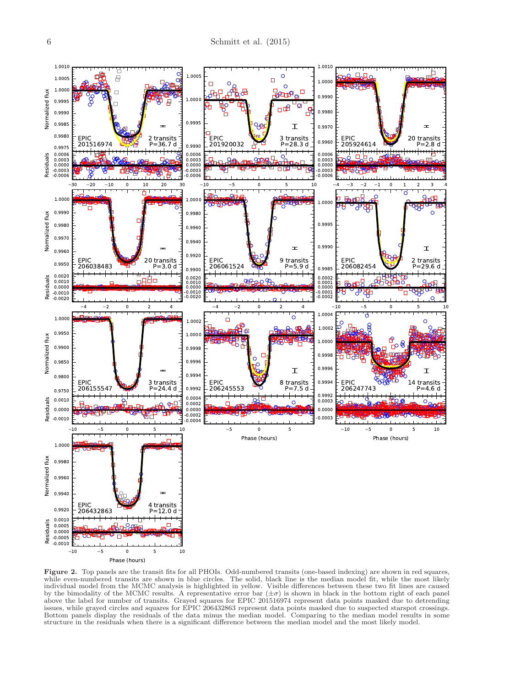

<span id="page-5-0"></span>Figure 2. Top panels are the transit fits for all PHOIs. Odd-numbered transits (one-based indexing) are shown in red squares, while even-numbered transits are shown in blue circles. The solid, black line is the median model fit, while the most likely individual model from the MCMC analysis is highlighted in yellow. Visible differences between these two fit lines are caused<br>by the bimodality of the MCMC results. A representative error bar  $(\pm \sigma)$  is shown in black in t above the label for number of transits. Grayed squares for EPIC 201516974 represent data points masked due to detrending issues, while grayed circles and squares for EPIC 206432863 represent data points masked due to suspected starspot crossings. Bottom panels display the residuals of the data minus the median model. Comparing to the median model results in some structure in the residuals when there is a significant difference between the median model and the most likely model.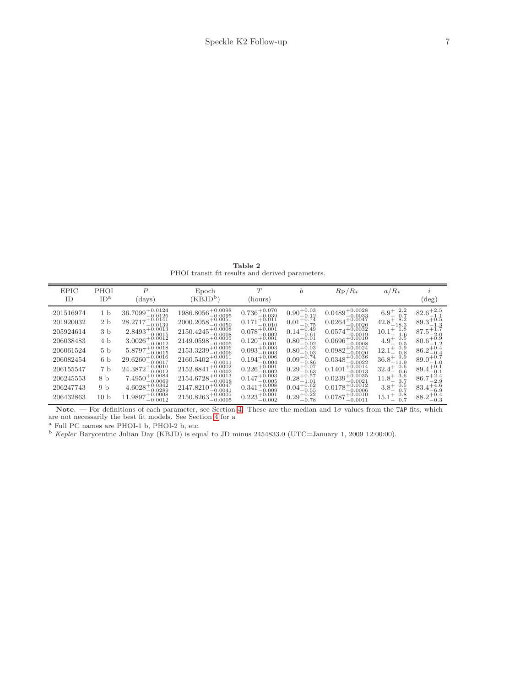Table 2 PHOI transit fit results and derived parameters.

<span id="page-6-0"></span>

| <b>EPIC</b><br>ID                                                                                                              | PHOI<br>ID <sup>a</sup>                                                                                                                                     | $\overline{P}$<br>(days)                                                                                                                                                                                                                                                                                                                                                                                                                                                                                                                                                                                                                                                                                                                                                                                                                                                                                                                                                                            | Epoch<br>$(KBJD^b)$                                                                                                                                                                                                                                                                                                                                                                                    | T<br>(hours)                                                                                                                                                                                                                                                                                                                                                | b                                                                                                                                                                                                                                                                                                 | $R_{\rm P}/R_*$                                                                                                                                                                                                                                                                                                                                                     | $a/R_*$                                                                                                                                                                                                                                                                 | $(\text{deg})$                                                                                                                                                                                                                                                 |
|--------------------------------------------------------------------------------------------------------------------------------|-------------------------------------------------------------------------------------------------------------------------------------------------------------|-----------------------------------------------------------------------------------------------------------------------------------------------------------------------------------------------------------------------------------------------------------------------------------------------------------------------------------------------------------------------------------------------------------------------------------------------------------------------------------------------------------------------------------------------------------------------------------------------------------------------------------------------------------------------------------------------------------------------------------------------------------------------------------------------------------------------------------------------------------------------------------------------------------------------------------------------------------------------------------------------------|--------------------------------------------------------------------------------------------------------------------------------------------------------------------------------------------------------------------------------------------------------------------------------------------------------------------------------------------------------------------------------------------------------|-------------------------------------------------------------------------------------------------------------------------------------------------------------------------------------------------------------------------------------------------------------------------------------------------------------------------------------------------------------|---------------------------------------------------------------------------------------------------------------------------------------------------------------------------------------------------------------------------------------------------------------------------------------------------|---------------------------------------------------------------------------------------------------------------------------------------------------------------------------------------------------------------------------------------------------------------------------------------------------------------------------------------------------------------------|-------------------------------------------------------------------------------------------------------------------------------------------------------------------------------------------------------------------------------------------------------------------------|----------------------------------------------------------------------------------------------------------------------------------------------------------------------------------------------------------------------------------------------------------------|
| 201516974<br>201920032<br>205924614<br>206038483<br>206061524<br>206082454<br>206155547<br>206245553<br>206247743<br>206432863 | 1 <sub>b</sub><br>2 <sub>b</sub><br>3 <sub>b</sub><br>4 b<br>5 <sub>b</sub><br>6 <sub>b</sub><br>7 <sub>b</sub><br>8 b<br>9 <sub>b</sub><br>10 <sub>b</sub> | $36.7099^{+0.0124}_{-0.0126}$<br>$28.2717^{+\tilde{0}.\tilde{0}1\tilde{4}1}_{\Omega$<br>$-0.0139$<br>$2.8493^{+0.0013}_{-0.0013}$<br>$-0.0015$<br>$3.0026^{+\overset{\bullet}{0}.\overset{00}{0012}}$<br>$-0.0012$<br>$5.8797^{+0.0018}_{-0.0015}$<br>$29.6260^{+0.0016}_{-0.0017}$<br>$24.3872^{+0.0010}_{-0.0012}$<br>$7.4950^{+0.0084}_{-0.0023}$<br>$-0.0069$<br>$4.6028^{+\overset{\bullet}{0}.\overset{\bullet}{0}.\overset{\bullet}{0}.\overset{\bullet}{0}.\overset{\bullet}{0}.\overset{\bullet}{0}.\overset{\bullet}{0}.\overset{\bullet}{0}.\overset{\bullet}{0}.\overset{\bullet}{0}.\overset{\bullet}{0}.\overset{\bullet}{0}.\overset{\bullet}{0}.\overset{\bullet}{0}.\overset{\bullet}{0}.\overset{\bullet}{0}.\overset{\bullet}{0}.\overset{\bullet}{0}.\overset{\bullet}{0}.\overset{\bullet}{0}.\overset{\bullet}{0}.\overset{\bullet}{0}.\overset{\bullet}{0}.\overset{\bullet}{0}.\overset{\bullet}{0}.\overset{\bullet}{0}.\overset{\bullet$<br>$11.9897^{+0.0008}_{-0.0003}$ | $1986.8056_{-0.0095}^{+0.0098}$<br>$2000.2058^{+0.0051}_{-0.0056}$<br>$-0.0059$<br>$2150.4245^{+0.0008}_{-0.0008}$<br>$2149.0598^{+\bigcirc}_{0.0005}$<br>$2153.3239^{+0.0006}_{-0.0006}$<br>$2160.5402^{+0.0011}_{-0.0011}$<br>$2152.8841^{+0.0002}_{-0.0000}$<br>$-0.0002$<br>$2154.6728^{+0.0013}_{-0.0019}$<br>$-0.0018$<br>$+0.0047$<br>2147.8210<br>$-0.0041$<br>$2150.8263_{-0.0005}^{+0.0005}$ | $0.736_{-0.039}^{+0.070}$<br>$0.171^{+0.011}_{-0.011}$<br>$-0.010$<br>$0.078 + 0.001$<br>$-0.002$<br>$0.120^{+0.001}_{-0.001}$<br>$-0.001$<br>$0.093_{-0.003}^{+0.003}$<br>$0.194^{+0.006}_{-0.004}$<br>$0.226^{+0.001}_{-0.002}$<br>$-0.002$<br>$0.147^{+0.003}_{-0.002}$<br>$-0.005$<br>$0.341^{+0.008}_{-0.01}$<br>$-0.009$<br>$0.223^{+0.001}_{-0.002}$ | $0.90^{+0.03}_{-0.12}$<br>$0.01^{+0.74}_{-0.75}$<br>$0.14^{+0.49}_{-0.49}$<br>$-0.61$<br>$0.80^{+0.01}_{-0.01}$<br>$-0.02$<br>$0.80_{-0.03}^{+0.03}$<br>$0.09_{-0.86}^{+0.74}$<br>$0.29_{-0.63}^{+0.07}$<br>$0.28^{+0.57}_{-1.01}$<br>$0.04^{+0.02}_{-0.02}$<br>$-0.55$<br>$0.29_{-0.78}^{+0.22}$ | $0.0489^{+0.0028}_{-0.0033}$<br>$0.0264^{+0.0047}_{-0.0020}$<br>$0.0574^{+0.0032}_{-0.0012}$<br>$-0.0019$<br>$0.0696^{+0.0010}_{-0.0010}$<br>$0.0982^{+0.0024}_{-0.0020}$<br>$0.0348_{-0.0022}^{+0.0036}$<br>$0.1401^{+0.0014}_{-0.0013}$<br>$-0.0013$<br>$0.0239^{+0.0035}_{-0.0003}$<br>$-0.0021$<br>$0.0178^{+0.0012}_{-0.0005}$<br>$0.0787^{+0.0010}_{-0.0011}$ | 2.2<br>$6.9^{+}_{-}$<br>0.7<br>$42.8^{+\ \ 8.2}_{-18.3}$<br>1.8<br>$10.1^{+}$<br>1.6<br>0.5<br>$4.9^{+}$<br>0.5<br>Ö.9<br>$12.1^{+}$<br>0.8<br>$36.8^{+\,9.9}_{-11.9}$<br>0.6<br>$32.4^{+}$<br>0.6<br>3.6<br>$11.8^{+}$<br>0.5<br>$3.8^{+}$<br>0.7<br>0.8<br>$15.1^{+}$ | $82.6^{+2.5}_{-1.1}$<br>$89.3^{+0.5}_{-1.3}$<br>$87.5^{+1.7}_{-2.0}$<br>$-2.0$<br>$80.6^{+0.9}_{-1.2}$<br>$86.2^{+0.4}_{-0.4}$<br>$89.0^{+0.7}_{-1.0}$<br>$89.4^{+0.1}_{-0.1}$<br>$86.7^{+2.4}_{-2.9}$<br>$83.4^{+4.6}_{-2.2}$<br>-6.9<br>$88.2^{+0.4}_{-0.3}$ |

Note. — For definitions of each parameter, see Section [4.](#page-3-0) These are the median and  $1\sigma$  values from the TAP fits, which are not necessarily the best fit models. See Section [4](#page-3-0) for a

<sup>a</sup> Full PC names are PHOI-1 b, PHOI-2 b, etc.

 $b$  Kepler Barycentric Julian Day (KBJD) is equal to JD minus 2454833.0 (UTC=January 1, 2009 12:00:00).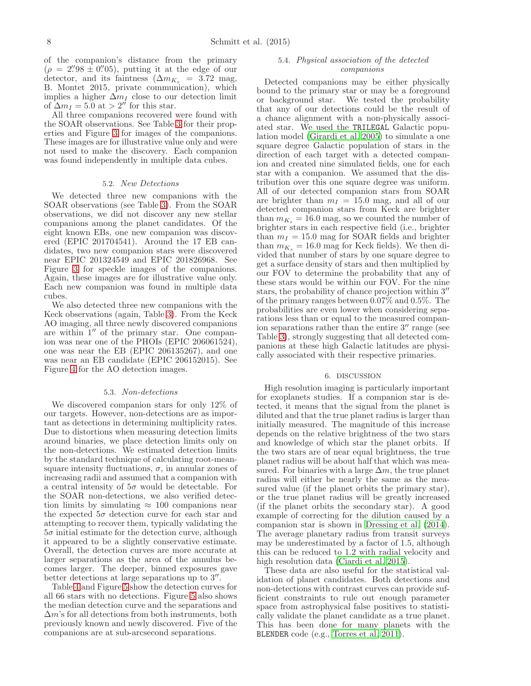of the companion's distance from the primary  $(\rho = 2\degree/98 \pm 0\degree/05)$ , putting it at the edge of our detector, and its faintness  $(\Delta m_{K_s} = 3.72 \text{ mag})$ , B. Montet 2015, private communication), which implies a higher  $\Delta m_I$  close to our detection limit of  $\Delta m_I = 5.0$  at  $> 2''$  for this star.

All three companions recovered were found with the SOAR observations. See Table [3](#page-9-0) for their properties and Figure [3](#page-8-0) for images of the companions. These images are for illustrative value only and were not used to make the discovery. Each companion was found independently in multiple data cubes.

#### 5.2. *New Detections*

We detected three new companions with the SOAR observations (see Table [3\)](#page-9-0). From the SOAR observations, we did not discover any new stellar companions among the planet candidates. Of the eight known EBs, one new companion was discovered (EPIC 201704541). Around the 17 EB candidates, two new companion stars were discovered near EPIC 201324549 and EPIC 201826968. See Figure [3](#page-8-0) for speckle images of the companions. Again, these images are for illustrative value only. Each new companion was found in multiple data cubes.

We also detected three new companions with the Keck observations (again, Table [3\)](#page-9-0). From the Keck AO imaging, all three newly discovered companions are within 1′′ of the primary star. One companion was near one of the PHOIs (EPIC 206061524), one was near the EB (EPIC 206135267), and one was near an EB candidate (EPIC 206152015). See Figure [4](#page-9-1) for the AO detection images.

#### 5.3. *Non-detections*

We discovered companion stars for only 12% of our targets. However, non-detections are as important as detections in determining multiplicity rates. Due to distortions when measuring detection limits around binaries, we place detection limits only on the non-detections. We estimated detection limits by the standard technique of calculating root-meansquare intensity fluctuations,  $\sigma$ , in annular zones of increasing radii and assumed that a companion with a central intensity of  $5\sigma$  would be detectable. For the SOAR non-detections, we also verified detection limits by simulating  $\approx 100$  companions near the expected  $5\sigma$  detection curve for each star and attempting to recover them, typically validating the  $5\sigma$  initial estimate for the detection curve, although it appeared to be a slightly conservative estimate. Overall, the detection curves are more accurate at larger separations as the area of the annulus becomes larger. The deeper, binned exposures gave better detections at large separations up to  $3''$ .

Table [4](#page-10-0) and Figure [5](#page-11-30) show the detection curves for all 66 stars with no detections. Figure [5](#page-11-30) also shows the median detection curve and the separations and  $\Delta m$ 's for all detections from both instruments, both previously known and newly discovered. Five of the companions are at sub-arcsecond separations.

## <span id="page-7-0"></span>5.4. *Physical association of the detected companions*

Detected companions may be either physically bound to the primary star or may be a foreground or background star. We tested the probability that any of our detections could be the result of a chance alignment with a non-physically associated star. We used the TRILEGAL Galactic population model [\(Girardi et al. 2005\)](#page-11-31) to simulate a one square degree Galactic population of stars in the direction of each target with a detected companion and created nine simulated fields, one for each star with a companion. We assumed that the distribution over this one square degree was uniform. All of our detected companion stars from SOAR are brighter than  $m_I = 15.0$  mag, and all of our detected companion stars from Keck are brighter than  $m_{K_s} = 16.0$  mag, so we counted the number of brighter stars in each respective field (i.e., brighter than  $m_I = 15.0$  mag for SOAR fields and brighter than  $m_{K_s} = 16.0$  mag for Keck fields). We then divided that number of stars by one square degree to get a surface density of stars and then multiplied by our FOV to determine the probability that any of these stars would be within our FOV. For the nine stars, the probability of chance projection within 3′′ of the primary ranges between 0.07% and 0.5%. The probabilities are even lower when considering separations less than or equal to the measured companion separations rather than the entire 3′′ range (see Table [3\)](#page-9-0), strongly suggesting that all detected companions at these high Galactic latitudes are physically associated with their respective primaries.

#### 6. DISCUSSION

High resolution imaging is particularly important for exoplanets studies. If a companion star is detected, it means that the signal from the planet is diluted and that the true planet radius is larger than initially measured. The magnitude of this increase depends on the relative brightness of the two stars and knowledge of which star the planet orbits. If the two stars are of near equal brightness, the true planet radius will be about half that which was measured. For binaries with a large  $\Delta m$ , the true planet radius will either be nearly the same as the measured value (if the planet orbits the primary star), or the true planet radius will be greatly increased (if the planet orbits the secondary star). A good example of correcting for the dilution caused by a companion star is shown in [Dressing et al. \(2014](#page-11-32)). The average planetary radius from transit surveys may be underestimated by a factor of 1.5, although this can be reduced to 1.2 with radial velocity and high resolution data [\(Ciardi et al. 2015\)](#page-11-33).

These data are also useful for the statistical validation of planet candidates. Both detections and non-detections with contrast curves can provide sufficient constraints to rule out enough parameter space from astrophysical false positives to statistically validate the planet candidate as a true planet. This has been done for many planets with the BLENDER code (e.g., [Torres et al. 2011\)](#page-12-21).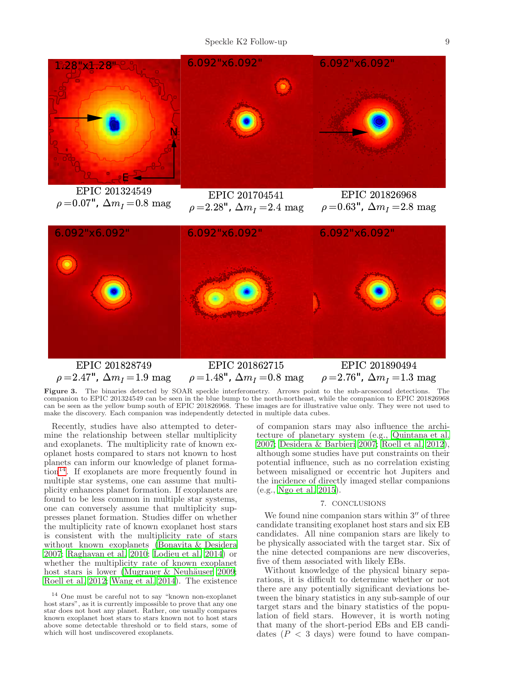

EPIC 201324549  $\rho = 0.07$ ",  $\Delta m_I = 0.8$  mag

EPIC 201704541  $\rho = 2.28$ ",  $\Delta m_I = 2.4$  mag

EPIC 201826968  $\rho = 0.63$ ",  $\Delta m_I = 2.8$  mag



Figure 3. The binaries detected by SOAR speckle interferometry. Arrows point to the sub-arcsecond detections. The companion to EPIC 201324549 can be seen in the blue bump to the north-northeast, while the companion to EPIC 201826968 can be seen as the yellow bump south of EPIC 201826968. These images are for illustrative value only. They were not used to make the discovery. Each companion was independently detected in multiple data cubes.

<span id="page-8-0"></span>Recently, studies have also attempted to determine the relationship between stellar multiplicity and exoplanets. The multiplicity rate of known exoplanet hosts compared to stars not known to host planets can inform our knowledge of planet forma- $\chi$  tion<sup>[14](#page-8-1)</sup>. If exoplanets are more frequently found in multiple star systems, one can assume that multiplicity enhances planet formation. If exoplanets are found to be less common in multiple star systems, one can conversely assume that multiplicity suppresses planet formation. Studies differ on whether the multiplicity rate of known exoplanet host stars is consistent with the multiplicity rate of stars without known exoplanets [\(Bonavita & Desidera](#page-11-34) [2007;](#page-11-34) [Raghavan et al. 2010](#page-12-22); [Lodieu et al. 2014\)](#page-12-23) or whether the multiplicity rate of known exoplanet host stars is lower (Mugrauer  $\&$  Neuhäuser 2009; [Roell et al. 2012](#page-12-25); [Wang et al. 2014](#page-12-26)). The existence

of companion stars may also influence the architecture of planetary system (e.g., [Quintana et al.](#page-12-27) [2007;](#page-12-27) [Desidera & Barbieri 2007;](#page-11-35) [Roell et al. 2012](#page-12-25)), although some studies have put constraints on their potential influence, such as no correlation existing between misaligned or eccentric hot Jupiters and the incidence of directly imaged stellar companions (e.g., [Ngo et al. 2015\)](#page-12-28).

## 7. CONCLUSIONS

We found nine companion stars within 3<sup>"</sup> of three candidate transiting exoplanet host stars and six EB candidates. All nine companion stars are likely to be physically associated with the target star. Six of the nine detected companions are new discoveries, five of them associated with likely EBs.

Without knowledge of the physical binary separations, it is difficult to determine whether or not there are any potentially significant deviations between the binary statistics in any sub-sample of our target stars and the binary statistics of the population of field stars. However, it is worth noting that many of the short-period EBs and EB candidates  $(P < 3$  days) were found to have compan-

<span id="page-8-1"></span><sup>14</sup> One must be careful not to say "known non-exoplanet host stars", as it is currently impossible to prove that any one star does not host any planet. Rather, one usually compares known exoplanet host stars to stars known not to host stars above some detectable threshold or to field stars, some of which will host undiscovered exoplanets.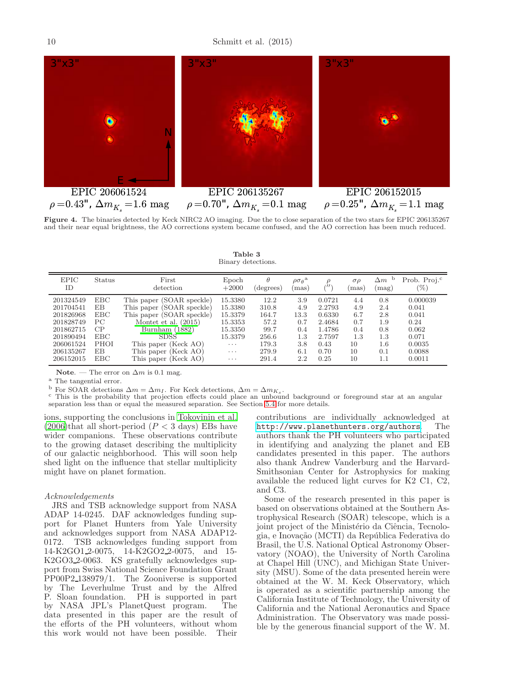10 Schmitt et al. (2015)



<span id="page-9-1"></span><span id="page-9-0"></span>Figure 4. The binaries detected by Keck NIRC2 AO imaging. Due the to close separation of the two stars for EPIC 206135267 and their near equal brightness, the AO corrections system became confused, and the AO correction has been much reduced.

| Table 3            |
|--------------------|
| Binary detections. |

| <b>EPIC</b><br>ID | <b>Status</b> | First<br>detection        | Epoch<br>$+2000$        | (degrees) | $\rho \sigma_{\theta}$<br>mas) | ÙI.    | $\sigma \rho$<br>mas) | $\Delta m$<br>$(\text{mag})$ | Prob. Proj. <sup>c</sup><br>$(\%)$ |
|-------------------|---------------|---------------------------|-------------------------|-----------|--------------------------------|--------|-----------------------|------------------------------|------------------------------------|
| 201324549         | <b>EBC</b>    | This paper (SOAR speckle) | 15.3380                 | 12.2      | 3.9                            | 0.0721 | 4.4                   | 0.8                          | 0.000039                           |
| 201704541         | EΒ            | This paper (SOAR speckle) | 15.3380                 | 310.8     | 4.9                            | 2.2793 | 4.9                   | 2.4                          | 0.041                              |
| 201826968         | <b>EBC</b>    | This paper (SOAR speckle) | 15.3379                 | 164.7     | 13.3                           | 0.6330 | 6.7                   | 2.8                          | 0.041                              |
| 201828749         | PC.           | Montet et al. $(2015)$    | 15.3353                 | 57.2      | 0.7                            | 2.4684 | 0.7                   | 1.9                          | 0.24                               |
| 201862715         | CP            | Burnham $(1882)$          | 15.3350                 | 99.7      | 0.4                            | 1.4786 | 0.4                   | 0.8                          | 0.062                              |
| 201890494         | <b>EBC</b>    | <b>SDSS</b>               | 15.3379                 | 256.6     | 1.3                            | 2.7597 | 1.3                   | 1.3                          | 0.071                              |
| 206061524         | <b>PHOI</b>   | This paper (Keck AO)      | $\cdot$ $\cdot$ $\cdot$ | 179.3     | 3.8                            | 0.43   | 10                    | 1.6                          | 0.0035                             |
| 206135267         | EB            | This paper (Keck AO)      | $\cdots$                | 279.9     | 6.1                            | 0.70   | 10                    | 0.1                          | 0.0088                             |
| 206152015         | <b>EBC</b>    | This paper (Keck AO)      | $\cdots$                | 291.4     | 2.2                            | 0.25   | 10                    | 1.1                          | 0.0011                             |

Note. — The error on  $\Delta m$  is 0.1 mag.

<sup>a</sup> The tangential error.

<sup>b</sup> For SOAR detections  $\Delta m = \Delta m_I$ . For Keck detections,  $\Delta m = \Delta m_{K_s}$ .<br><sup>c</sup> This is the probability that projection effects could place an unbound background or foreground star at an angular separation less than or equal the measured separation. See Section [5.4](#page-7-0) for more details.

ions, supporting the conclusions in [Tokovinin et al.](#page-12-29) [\(2006\)](#page-12-29)that all short-period  $(P < 3$  days) EBs have wider companions. These observations contribute to the growing dataset describing the multiplicity of our galactic neighborhood. This will soon help shed light on the influence that stellar multiplicity might have on planet formation.

## *Acknowledgements*

JRS and TSB acknowledge support from NASA ADAP 14-0245. DAF acknowledges funding support for Planet Hunters from Yale University and acknowledges support from NASA ADAP12- 0172. TSB acknowledges funding support from 14-K2GO1 2-0075, 14-K2GO2 2-0075, and 15- K2GO3 2-0063. KS gratefully acknowledges support from Swiss National Science Foundation Grant PP00P2 138979/1. The Zooniverse is supported by The Leverhulme Trust and by the Alfred P. Sloan foundation. PH is supported in part by NASA JPL's PlanetQuest program. The data presented in this paper are the result of the efforts of the PH volunteers, without whom this work would not have been possible. Their

contributions are individually acknowledged at <http://www.planethunters.org/authors>. The authors thank the PH volunteers who participated in identifying and analyzing the planet and EB candidates presented in this paper. The authors also thank Andrew Vanderburg and the Harvard-Smithsonian Center for Astrophysics for making available the reduced light curves for K2 C1, C2, and C3.

Some of the research presented in this paper is based on observations obtained at the Southern Astrophysical Research (SOAR) telescope, which is a joint project of the Ministério da Ciência, Tecnologia, e Inovação (MCTI) da República Federativa do Brasil, the U.S. National Optical Astronomy Observatory (NOAO), the University of North Carolina at Chapel Hill (UNC), and Michigan State University (MSU). Some of the data presented herein were obtained at the W. M. Keck Observatory, which is operated as a scientific partnership among the California Institute of Technology, the University of California and the National Aeronautics and Space Administration. The Observatory was made possible by the generous financial support of the W. M.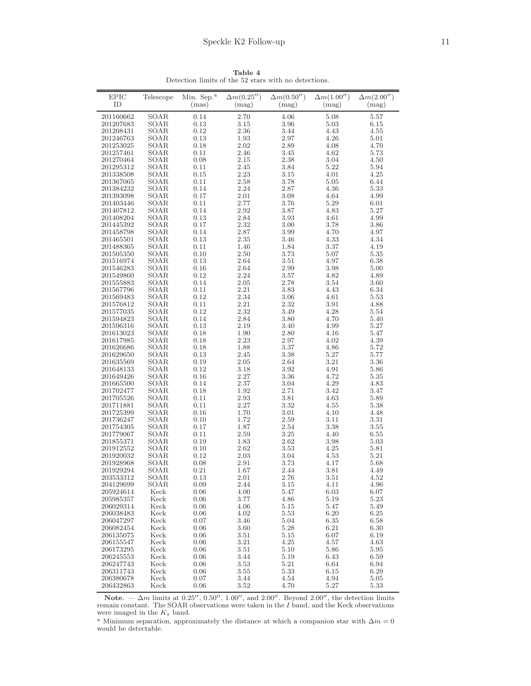<span id="page-10-0"></span>

| <b>EPIC</b> | Telescope | Min. Sep. <sup>a</sup> | $\Delta m(0.25'')$ | $\Delta m(0.50'')$ | $\Delta m(1.00'')$ | $\Delta m(2.00'')$ |
|-------------|-----------|------------------------|--------------------|--------------------|--------------------|--------------------|
| ID          |           | (mas)                  | (mag)              | (mag)              | (mag)              | (mag)              |
|             |           |                        |                    |                    |                    |                    |
| 201160662   | SOAR      | 0.14                   | 2.70               | 4.06               | 5.08               | 5.57               |
| 201207683   | SOAR      | 0.13                   | 3.15               | 3.96               | 5.03               | 6.15               |
| 201208431   | SOAR      | 0.12                   | 2.36               | 3.44               | 4.43               | 4.55               |
| 201246763   | SOAR      | 0.13                   | 1.93               | 2.97               | 4.26               | 5.01               |
| 201253025   | SOAR      | 0.18                   | 2.02               | 2.89               | 4.08               | 4.70               |
| 201257461   | SOAR      | 0.11                   | 2.46               | 3.45               | 4.62               | 5.73               |
| 201270464   | SOAR      | 0.08                   | 2.15               | 2.38               | 3.04               | 4.50               |
| 201295312   | SOAR      | 0.11                   | 2.45               | 3.84               | 5.22               | 5.94               |
| 201338508   | SOAR      | 0.15                   | 2.23               | 3.15               | 4.01               | 4.25               |
| 201367065   | SOAR      | 0.11                   | 2.58               | 3.78               | 5.05               | 6.44               |
| 201384232   | SOAR      | 0.14                   | 2.24               | 2.87               | 4.36               | 5.33               |
| 201393098   | SOAR      | 0.17                   | 2.01               | 3.08               | 4.64               | 4.99               |
| 201403446   | SOAR      | 0.11                   | 2.77               | 3.76               | 5.29               | 6.01               |
| 201407812   | SOAR      | 0.14                   | 2.92               | 3.87               | 4.83               | 5.27               |
| 201408204   | SOAR      | 0.13                   | 2.84               | 3.93               | 4.61               | 4.99               |
| 201445392   | SOAR      | 0.17                   | 2.32               | 3.00               | 3.78               | 3.86               |
| 201458798   | SOAR      | 0.14                   | 2.87               | 3.99               | 4.70               | 4.97               |
| 201465501   | SOAR      | 0.13                   | 2.35               | 3.46               | 4.33               | 4.34               |
| 201488365   | SOAR      | 0.11                   | 1.46               | 1.84               | 3.37               | 4.19               |
| 201505350   | SOAR      | 0.10                   | 2.50               | 3.73               | 5.07               | 5.35               |
| 201516974   | SOAR      | 0.13                   | 2.64               | 3.51               | 4.97               | 6.38               |
| 201546283   | SOAR      | 0.16                   | 2.64               | 2.99               | 3.98               | 5.00               |
| 201549860   | SOAR      | 0.12                   | 2.24               | 3.57               | 4.82               | 4.89               |
| 201555883   | SOAR      | 0.14                   | 2.05               | 2.78               | 3.54               | 3.60               |
| 201567796   | SOAR      | 0.11                   | 2.21               | 3.83               | 4.43               | 6.34               |
| 201569483   | SOAR      | 0.12                   | 2.34               | 3.06               | 4.61               | 5.53               |
| 201576812   | SOAR      | 0.11                   | 2.21               | 2.32               | 3.91               | 4.88               |
| 201577035   | SOAR      | 0.12                   | 2.32               | 3.49               | 4.28               | 5.54               |
| 201594823   | SOAR      | 0.14                   | 2.84               | 3.80               | 4.70               | 5.40               |
| 201596316   | SOAR      | 0.13                   | 2.19               | 3.40               | 4.99               | 5.27               |
| 201613023   | SOAR      | 0.18                   | 1.90               | 2.80               | 4.16               | 5.47               |
| 201617985   | SOAR      | 0.18                   | 2.23               | 2.97               | 4.02               | 4.39               |
| 201626686   | SOAR      | 0.18                   | 1.88               | 3.37               | 4.86               | 5.72               |
| 201629650   | SOAR      | 0.13                   | 2.45               | 3.38               | 5.27               | 5.77               |
| 201635569   | SOAR      | 0.19                   | 2.05               | 2.64               | 3.21               | 3.36               |
| 201648133   | SOAR      | 0.12                   | 3.18               | 3.92               | 4.91               | 5.86               |
| 201649426   | SOAR      | 0.16                   | 2.27               | 3.36               | 4.72               | 5.35               |
| 201665500   | SOAR      | 0.14                   | 2.37               | 3.04               | 4.29               | 4.83               |
| 201702477   | SOAR      | 0.18                   | 1.92               | 2.71               | 3.42               | 3.47               |
| 201705526   | SOAR      | 0.11                   | 2.93               | 3.81               | 4.63               | 5.89               |
| 201711881   | SOAR      | 0.11                   | 2.27               | 3.32               | 4.55               | 5.38               |
| 201725399   | SOAR      | 0.16                   | 1.70               | 3.01               | 4.10               | 4.48               |
| 201736247   | SOAR      | 0.10                   | 1.72               | 2.59               | 3.11               | 3.31               |
| 201754305   | SOAR      | 0.17                   | 1.87               | 2.54               | 3.38               | 3.55               |
| 201779067   | SOAR      | 0.11                   | 2.59               | 3.25               | 4.40               | 6.55               |
| 201855371   | SOAR      | 0.19                   | 1.83               | 2.62               | 3.98               | 5.03               |
| 201912552   | SOAR      | 0.10                   | 2.62               | 3.53               | 4.25               | 5.81               |
| 201920032   | SOAR      | 0.12                   | 2.03               | 3.04               | 4.53               | 5.21               |
| 201928968   | SOAR      | 0.08                   | 2.91               | 3.73               | 4.17               | 5.68               |
| 201929294   | SOAR      | 0.21                   | 1.67               | 2.44               | 3.81               | 4.49               |
| 203533312   | SOAR      | 0.13                   | 2.01               | 2.76               | 3.51               | 4.52               |
| 204129699   | SOAR      | 0.09                   | 2.44               | 3.15               | 4.11               | 4.96               |
| 205924614   | Keck      | 0.06                   | 4.00               | 5.47               | 6.03               | 6.07               |
| 205985357   | Keck      | 0.06                   | 3.77               | 4.86               | 5.19               | 5.23               |
| 206029314   | Keck      | 0.06                   | 4.06               | 5.15               | 5.47               | 5.49               |
| 206038483   | Keck      | 0.06                   | 4.02               | 5.53               | 6.20               | 6.25               |
| 206047297   | Keck      | 0.07                   | 3.46               | 5.04               | 6.35               | 6.58               |
| 206082454   | Keck      | 0.06                   | 3.60               | 5.28               | 6.21               | 6.30               |
| 206135075   | Keck      | 0.06                   | 3.51               | 5.15               | 6.07               | 6.19               |
| 206155547   | Keck      | 0.06                   | 3.21               | 4.25               | 4.57               | 4.63               |
| 206173295   | Keck      | 0.06                   | 3.51               | 5.10               | 5.86               | 5.95               |
| 206245553   | Keck      | 0.06                   | 3.44               | 5.19               | 6.43               | 6.59               |
| 206247743   | Keck      | 0.06                   | 3.53               | 5.21               | 6.64               | 6.94               |
| 206311743   | Keck      | 0.06                   | 3.55               | 5.33               | 6.15               | 6.29               |
| 206380678   | Keck      | 0.07                   | 3.44               | 4.54               | 4.94               | $5.05\,$           |
| 206432863   | Keck      | 0.06                   | 3.52               | 4.70               | 5.27               | 5.33               |

Table 4 Detection limits of the 52 stars with no detections.

Note. —  $\Delta m$  limits at 0.25'', 0.50'', 1.00'', and 2.00''. Beyond 2.00'', the detection limits remain constant. The SOAR observations were taken in the I band, and the Keck observations were imaged in the  $K_s$  band.

a Minimum separation, approximately the distance at which a companion star with  $\Delta m=0$ would be detectable.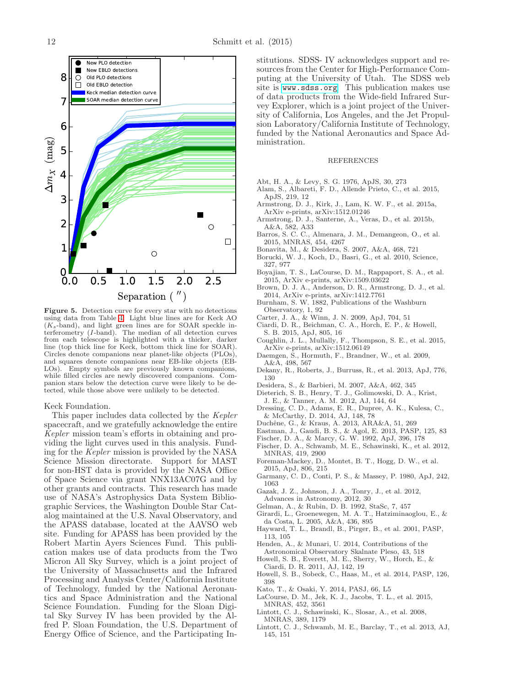

<span id="page-11-30"></span>Figure 5. Detection curve for every star with no detections using data from Table [4.](#page-10-0) Light blue lines are for Keck AO  $(K_s$ -band), and light green lines are for SOAR speckle interferometry (I-band). The median of all detection curves from each telescope is highlighted with a thicker, darker line (top thick line for Keck, bottom thick line for SOAR). Circles denote companions near planet-like objects (PLOs), and squares denote companions near EB-like objects (EB-LOs). Empty symbols are previously known companions, while filled circles are newly discovered companions. Companion stars below the detection curve were likely to be detected, while those above were unlikely to be detected.

#### Keck Foundation.

This paper includes data collected by the *Kepler* spacecraft, and we gratefully acknowledge the entire *Kepler* mission team's efforts in obtaining and providing the light curves used in this analysis. Funding for the *Kepler* mission is provided by the NASA Science Mission directorate. Support for MAST for non-HST data is provided by the NASA Office of Space Science via grant NNX13AC07G and by other grants and contracts. This research has made use of NASA's Astrophysics Data System Bibliographic Services, the Washington Double Star Catalog maintained at the U.S. Naval Observatory, and the APASS database, located at the AAVSO web site. Funding for APASS has been provided by the Robert Martin Ayers Sciences Fund. This publication makes use of data products from the Two Micron All Sky Survey, which is a joint project of the University of Massachusetts and the Infrared Processing and Analysis Center/California Institute of Technology, funded by the National Aeronautics and Space Administration and the National Science Foundation. Funding for the Sloan Digital Sky Survey IV has been provided by the Alfred P. Sloan Foundation, the U.S. Department of Energy Office of Science, and the Participating Institutions. SDSS- IV acknowledges support and resources from the Center for High-Performance Computing at the University of Utah. The SDSS web site is <www.sdss.org>. This publication makes use of data products from the Wide-field Infrared Survey Explorer, which is a joint project of the University of California, Los Angeles, and the Jet Propulsion Laboratory/California Institute of Technology, funded by the National Aeronautics and Space Administration.

#### REFERENCES

- <span id="page-11-3"></span>Abt, H. A., & Levy, S. G. 1976, ApJS, 30, 273
- <span id="page-11-26"></span>Alam, S., Albareti, F. D., Allende Prieto, C., et al. 2015, ApJS, 219, 12
- <span id="page-11-17"></span>Armstrong, D. J., Kirk, J., Lam, K. W. F., et al. 2015a, ArXiv e-prints, arXiv:1512.01246
- <span id="page-11-19"></span>Armstrong, D. J., Santerne, A., Veras, D., et al. 2015b, A&A, 582, A33
- <span id="page-11-20"></span>Barros, S. C. C., Almenara, J. M., Demangeon, O., et al. 2015, MNRAS, 454, 4267
- <span id="page-11-34"></span>Bonavita, M., & Desidera, S. 2007, A&A, 468, 721
- <span id="page-11-7"></span>Borucki, W. J., Koch, D., Basri, G., et al. 2010, Science, 327, 977
- <span id="page-11-15"></span>Boyajian, T. S., LaCourse, D. M., Rappaport, S. A., et al. 2015, ArXiv e-prints, arXiv:1509.03622
- <span id="page-11-16"></span>Brown, D. J. A., Anderson, D. R., Armstrong, D. J., et al. 2014, ArXiv e-prints, arXiv:1412.7761
- <span id="page-11-27"></span>Burnham, S. W. 1882, Publications of the Washburn Observatory, 1, 92
- <span id="page-11-23"></span>Carter, J. A., & Winn, J. N. 2009, ApJ, 704, 51
- <span id="page-11-33"></span>Ciardi, D. R., Beichman, C. A., Horch, E. P., & Howell,
- <span id="page-11-8"></span>S. B. 2015, ApJ, 805, 16 Coughlin, J. L., Mullally, F., Thompson, S. E., et al. 2015, ArXiv e-prints, arXiv:1512.06149
- <span id="page-11-6"></span>Daemgen, S., Hormuth, F., Brandner, W., et al. 2009, A&A, 498, 567
- <span id="page-11-29"></span>Dekany, R., Roberts, J., Burruss, R., et al. 2013, ApJ, 776, 130
- <span id="page-11-35"></span>Desidera, S., & Barbieri, M. 2007, A&A, 462, 345
- <span id="page-11-2"></span>Dieterich, S. B., Henry, T. J., Golimowski, D. A., Krist,
- J. E., & Tanner, A. M. 2012, AJ, 144, 64
- <span id="page-11-32"></span>Dressing, C. D., Adams, E. R., Dupree, A. K., Kulesa, C., & McCarthy, D. 2014, AJ, 148, 78
- <span id="page-11-0"></span>Duchêne, G., & Kraus, A. 2013, ARA&A, 51, 269
- <span id="page-11-22"></span>Eastman, J., Gaudi, B. S., & Agol, E. 2013, PASP, 125, 83
- <span id="page-11-1"></span>Fischer, D. A., & Marcy, G. W. 1992, ApJ, 396, 178
- <span id="page-11-10"></span>Fischer, D. A., Schwamb, M. E., Schawinski, K., et al. 2012, MNRAS, 419, 2900
- <span id="page-11-18"></span>Foreman-Mackey, D., Montet, B. T., Hogg, D. W., et al. 2015, ApJ, 806, 215
- <span id="page-11-4"></span>Garmany, C. D., Conti, P. S., & Massey, P. 1980, ApJ, 242, 1063
- <span id="page-11-21"></span>Gazak, J. Z., Johnson, J. A., Tonry, J., et al. 2012,
- Advances in Astronomy, 2012, 30
- <span id="page-11-24"></span>Gelman, A., & Rubin, D. B. 1992, StaSc, 7, 457
- <span id="page-11-31"></span>Girardi, L., Groenewegen, M. A. T., Hatziminaoglou, E., &
- da Costa, L. 2005, A&A, 436, 895 Hayward, T. L., Brandl, B., Pirger, B., et al. 2001, PASP,
- <span id="page-11-28"></span>113, 105 Henden, A., & Munari, U. 2014, Contributions of the
- <span id="page-11-25"></span>Astronomical Observatory Skalnate Pleso, 43, 518
- <span id="page-11-5"></span>Howell, S. B., Everett, M. E., Sherry, W., Horch, E., & Ciardi, D. R. 2011, AJ, 142, 19
- <span id="page-11-9"></span>Howell, S. B., Sobeck, C., Haas, M., et al. 2014, PASP, 126, 398
- <span id="page-11-12"></span>Kato, T., & Osaki, Y. 2014, PASJ, 66, L5
- <span id="page-11-14"></span>LaCourse, D. M., Jek, K. J., Jacobs, T. L., et al. 2015, MNRAS, 452, 3561
- <span id="page-11-11"></span>Lintott, C. J., Schawinski, K., Slosar, A., et al. 2008, MNRAS, 389, 1179
- <span id="page-11-13"></span>Lintott, C. J., Schwamb, M. E., Barclay, T., et al. 2013, AJ, 145, 151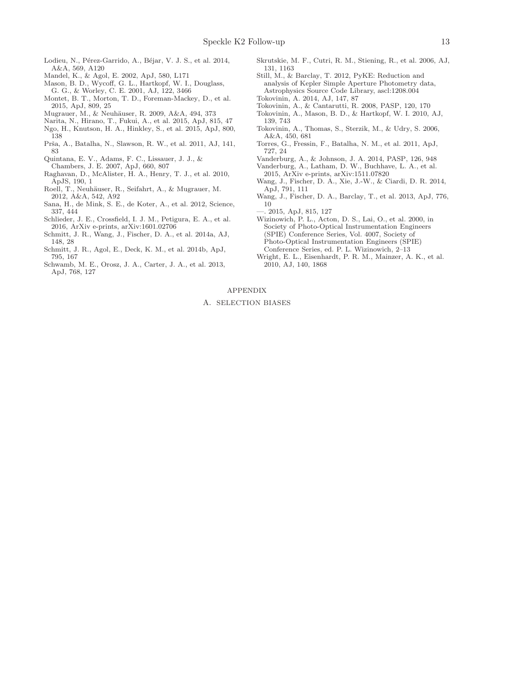- <span id="page-12-23"></span>Lodieu, N., Pérez-Garrido, A., Béjar, V. J. S., et al. 2014, A&A, 569, A120
- <span id="page-12-17"></span>Mandel, K., & Agol, E. 2002, ApJ, 580, L171
- <span id="page-12-20"></span>Mason, B. D., Wycoff, G. L., Hartkopf, W. I., Douglass, G. G., & Worley, C. E. 2001, AJ, 122, 3466
- <span id="page-12-11"></span>Montet, B. T., Morton, T. D., Foreman-Mackey, D., et al. 2015, ApJ, 809, 25
- <span id="page-12-24"></span>Mugrauer, M., & Neuhäuser, R. 2009, A&A, 494, 373
- <span id="page-12-10"></span>Narita, N., Hirano, T., Fukui, A., et al. 2015, ApJ, 815, 47
- <span id="page-12-28"></span>Ngo, H., Knutson, H. A., Hinkley, S., et al. 2015, ApJ, 800, 138
- <span id="page-12-15"></span>Prša, A., Batalha, N., Slawson, R. W., et al. 2011, AJ, 141, 83
- <span id="page-12-27"></span>Quintana, E. V., Adams, F. C., Lissauer, J. J., &
- Chambers, J. E. 2007, ApJ, 660, 807
- <span id="page-12-22"></span>Raghavan, D., McAlister, H. A., Henry, T. J., et al. 2010, ApJS, 190, 1
- <span id="page-12-25"></span>Roell, T., Neuhäuser, R., Seifahrt, A., & Mugrauer, M. 2012, A&A, 542, A92
- <span id="page-12-1"></span>Sana, H., de Mink, S. E., de Koter, A., et al. 2012, Science, 337, 444
- <span id="page-12-12"></span>Schlieder, J. E., Crossfield, I. J. M., Petigura, E. A., et al. 2016, ArXiv e-prints, arXiv:1601.02706
- <span id="page-12-5"></span>Schmitt, J. R., Wang, J., Fischer, D. A., et al. 2014a, AJ, 148, 28
- <span id="page-12-8"></span>Schmitt, J. R., Agol, E., Deck, K. M., et al. 2014b, ApJ, 795, 167
- <span id="page-12-7"></span>Schwamb, M. E., Orosz, J. A., Carter, J. A., et al. 2013, ApJ, 768, 127
- <span id="page-12-18"></span>Skrutskie, M. F., Cutri, R. M., Stiening, R., et al. 2006, AJ, 131, 1163
- <span id="page-12-3"></span>Still, M., & Barclay, T. 2012, PyKE: Reduction and analysis of Kepler Simple Aperture Photometry data, Astrophysics Source Code Library, ascl:1208.004
- <span id="page-12-0"></span>Tokovinin, A. 2014, AJ, 147, 87
- <span id="page-12-13"></span>Tokovinin, A., & Cantarutti, R. 2008, PASP, 120, 170
- <span id="page-12-14"></span>Tokovinin, A., Mason, B. D., & Hartkopf, W. I. 2010, AJ, 139, 743
- <span id="page-12-29"></span>Tokovinin, A., Thomas, S., Sterzik, M., & Udry, S. 2006, A&A, 450, 681
- <span id="page-12-21"></span>Torres, G., Fressin, F., Batalha, N. M., et al. 2011, ApJ, 727, 24
- <span id="page-12-2"></span>Vanderburg, A., & Johnson, J. A. 2014, PASP, 126, 948
- <span id="page-12-9"></span>Vanderburg, A., Latham, D. W., Buchhave, L. A., et al. 2015, ArXiv e-prints, arXiv:1511.07820
- <span id="page-12-26"></span>Wang, J., Fischer, D. A., Xie, J.-W., & Ciardi, D. R. 2014, ApJ, 791, 111
- <span id="page-12-4"></span>Wang, J., Fischer, D. A., Barclay, T., et al. 2013, ApJ, 776, 10
- <span id="page-12-6"></span>—. 2015, ApJ, 815, 127
- <span id="page-12-16"></span>Wizinowich, P. L., Acton, D. S., Lai, O., et al. 2000, in Society of Photo-Optical Instrumentation Engineers
- (SPIE) Conference Series, Vol. 4007, Society of Photo-Optical Instrumentation Engineers (SPIE) Conference Series, ed. P. L. Wizinowich, 2–13
- <span id="page-12-19"></span>Wright, E. L., Eisenhardt, P. R. M., Mainzer, A. K., et al. 2010, AJ, 140, 1868

## APPENDIX

#### A. SELECTION BIASES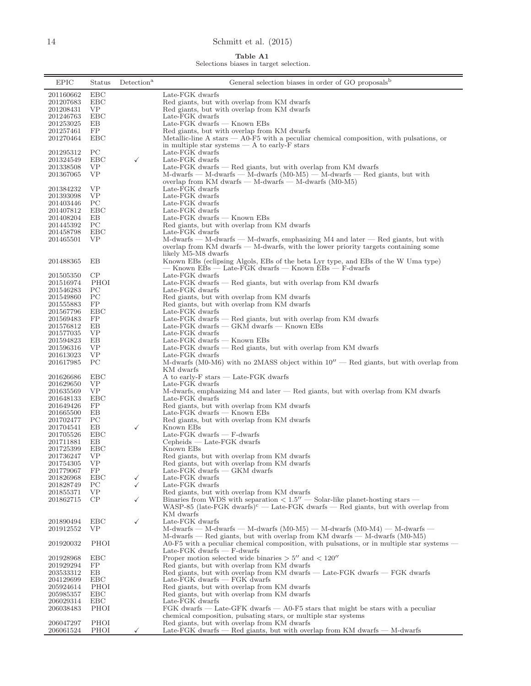# <span id="page-13-0"></span>14 Schmitt et al. (2015)

Table A1

Selections biases in target selection.

| <b>EPIC</b>            | Status      | Detection <sup>a</sup> | General selection biases in order of GO proposals <sup>b</sup>                                                                                            |
|------------------------|-------------|------------------------|-----------------------------------------------------------------------------------------------------------------------------------------------------------|
| 201160662              | EBC         |                        | Late-FGK dwarfs                                                                                                                                           |
| 201207683              | EBC         |                        | Red giants, but with overlap from KM dwarfs                                                                                                               |
| 201208431              | VP.         |                        | Red giants, but with overlap from KM dwarfs                                                                                                               |
| 201246763              | EBC         |                        | Late-FGK dwarfs                                                                                                                                           |
| 201253025              | EB          |                        | Late-FGK dwarfs — Known EBs                                                                                                                               |
| 201257461              | FP          |                        | Red giants, but with overlap from KM dwarfs                                                                                                               |
| 201270464              | <b>EBC</b>  |                        | Metallic-line A stars — A0-F5 with a peculiar chemical composition, with pulsations, or                                                                   |
|                        |             |                        | in multiple star systems $- A$ to early- $F$ stars                                                                                                        |
| 201295312              | PС          |                        | Late-FGK dwarfs                                                                                                                                           |
| 201324549              | EBC         | $\checkmark$           | Late-FGK dwarfs                                                                                                                                           |
| 201338508<br>201367065 | VP<br>VP    |                        | Late-FGK dwarfs $-$ Red giants, but with overlap from KM dwarfs<br>$M$ -dwarfs — $M$ -dwarfs — $M$ -dwarfs $(M0-M5)$ — $M$ -dwarfs — Red giants, but with |
|                        |             |                        | overlap from KM dwarfs $-$ M-dwarfs $-$ M-dwarfs (M0-M5)                                                                                                  |
| 201384232              | VP          |                        | Late-FGK dwarfs                                                                                                                                           |
| 201393098              | VP          |                        | Late-FGK dwarfs                                                                                                                                           |
| 201403446              | PС          |                        | Late-FGK dwarfs                                                                                                                                           |
| 201407812              | EBC         |                        | Late-FGK dwarfs                                                                                                                                           |
| 201408204              | EB          |                        | Late-FGK dwarfs — Known EBs                                                                                                                               |
| 201445392              | PС          |                        | Red giants, but with overlap from KM dwarfs                                                                                                               |
| 201458798              | EBC         |                        | Late-FGK dwarfs                                                                                                                                           |
| 201465501              | VP          |                        | M-dwarfs — M-dwarfs — M-dwarfs, emphasizing M4 and later — Red giants, but with                                                                           |
|                        |             |                        | overlap from KM dwarfs $-$ M-dwarfs, with the lower priority targets containing some                                                                      |
|                        |             |                        | likely M5-M8 dwarfs                                                                                                                                       |
| 201488365              | ΕB          |                        | Known EBs (eclipsing Algols, EBs of the beta Lyr type, and EBs of the W Uma type)<br>- Known EBs - Late-FGK dwarfs - Known EBs - F-dwarfs                 |
| 201505350              | $\rm CP$    |                        | Late-FGK dwarfs                                                                                                                                           |
| 201516974              | PHOI        |                        | Late-FGK dwarfs — Red giants, but with overlap from KM dwarfs                                                                                             |
| 201546283              | PС          |                        | Late-FGK dwarfs                                                                                                                                           |
| 201549860              | PС          |                        | Red giants, but with overlap from KM dwarfs                                                                                                               |
| 201555883              | FP          |                        | Red giants, but with overlap from KM dwarfs                                                                                                               |
| 201567796              | EBC         |                        | Late-FGK dwarfs                                                                                                                                           |
| 201569483              | FP          |                        | Late-FGK dwarfs $-$ Red giants, but with overlap from KM dwarfs                                                                                           |
| 201576812              | EB          |                        | Late-FGK dwarfs — GKM dwarfs — Known EBs                                                                                                                  |
| 201577035              | VP          |                        | Late-FGK dwarfs                                                                                                                                           |
| 201594823              | EB          |                        | Late-FGK dwarfs - Known EBs                                                                                                                               |
| 201596316              | VP<br>VP    |                        | Late-FGK dwarfs $-$ Red giants, but with overlap from KM dwarfs                                                                                           |
| 201613023<br>201617985 | PС          |                        | Late-FGK dwarfs<br>M-dwarfs (M0-M6) with no 2MASS object within $10''$ — Red giants, but with overlap from                                                |
|                        |             |                        | KM dwarfs                                                                                                                                                 |
| 201626686              | EBC         |                        | A to early-F stars — Late-FGK dwarfs                                                                                                                      |
| 201629650              | <b>VP</b>   |                        | Late-FGK dwarfs                                                                                                                                           |
| 201635569              | <b>VP</b>   |                        | M-dwarfs, emphasizing M4 and later — Red giants, but with overlap from KM dwarfs                                                                          |
| 201648133              | EBC         |                        | Late-FGK dwarfs                                                                                                                                           |
| 201649426              | FP          |                        | Red giants, but with overlap from KM dwarfs                                                                                                               |
| 201665500              | ΕB          |                        | Late-FGK dwarfs — Known EBs                                                                                                                               |
| 201702477              | PC.         |                        | Red giants, but with overlap from KM dwarfs                                                                                                               |
| 201704541              | EB          | ✓                      | Known EBs<br>Late-FGK dwarfs $-$ F-dwarfs                                                                                                                 |
| 201705526<br>201711881 | EBC<br>EB   |                        | Cepheids — Late-FGK dwarfs                                                                                                                                |
| 201725399              | EBC         |                        | Known EBs                                                                                                                                                 |
| 201736247              | VP          |                        | Red giants, but with overlap from KM dwarfs                                                                                                               |
| 201754305              | VP          |                        | Red giants, but with overlap from KM dwarfs                                                                                                               |
| 201779067              | FP          |                        | Late-FGK dwarfs $-$ GKM dwarfs                                                                                                                            |
| 201826968              | EBC         | ✓                      | Late-FGK dwarfs                                                                                                                                           |
| 201828749              | PС          | $\checkmark$           | Late-FGK dwarfs                                                                                                                                           |
| 201855371              | VP          |                        | Red giants, but with overlap from KM dwarfs                                                                                                               |
| 201862715              | CP          | ✓                      | Binaries from WDS with separation $< 1.5''$ — Solar-like planet-hosting stars —                                                                           |
|                        |             |                        | WASP-85 (late-FGK dwarfs) <sup>c</sup> — Late-FGK dwarfs — Red giants, but with overlap from                                                              |
|                        | EBC         | $\checkmark$           | KM dwarfs<br>Late-FGK dwarfs                                                                                                                              |
| 201890494<br>201912552 | VP          |                        | $M$ -dwarfs — $M$ -dwarfs — $M$ -dwarfs ( $M0-M5$ ) — $M$ -dwarfs ( $M0-M4$ ) — $M$ -dwarfs —                                                             |
|                        |             |                        | $M$ -dwarfs — Red giants, but with overlap from KM dwarfs — M-dwarfs (M0-M5)                                                                              |
| 201920032              | PHOI        |                        | A0-F5 with a peculiar chemical composition, with pulsations, or in multiple star systems —                                                                |
|                        |             |                        | Late-FGK dwarfs $-$ F-dwarfs                                                                                                                              |
| 201928968              | EBC         |                        | Proper motion selected wide binaries $> 5''$ and $< 120''$                                                                                                |
| 201929294              | FP          |                        | Red giants, but with overlap from KM dwarfs                                                                                                               |
| 203533312              | EB          |                        | Red giants, but with overlap from KM dwarfs — Late-FGK dwarfs — FGK dwarfs                                                                                |
| 204129699              | <b>EBC</b>  |                        | Late-FGK dwarfs — FGK dwarfs                                                                                                                              |
| 205924614              | PHOI        |                        | Red giants, but with overlap from KM dwarfs                                                                                                               |
| 205985357              | EBC         |                        | Red giants, but with overlap from KM dwarfs                                                                                                               |
| 206029314              | EBC         |                        | Late-FGK dwarfs                                                                                                                                           |
| 206038483              | PHOI        |                        | FGK dwarfs — Late-GFK dwarfs — A0-F5 stars that might be stars with a peculiar                                                                            |
| 206047297              | PHOI        |                        | chemical composition, pulsating stars, or multiple star systems                                                                                           |
| 206061524              | <b>PHOI</b> |                        | Red giants, but with overlap from KM dwarfs<br>Late-FGK dwarfs — Red giants, but with overlap from KM dwarfs — M-dwarfs                                   |